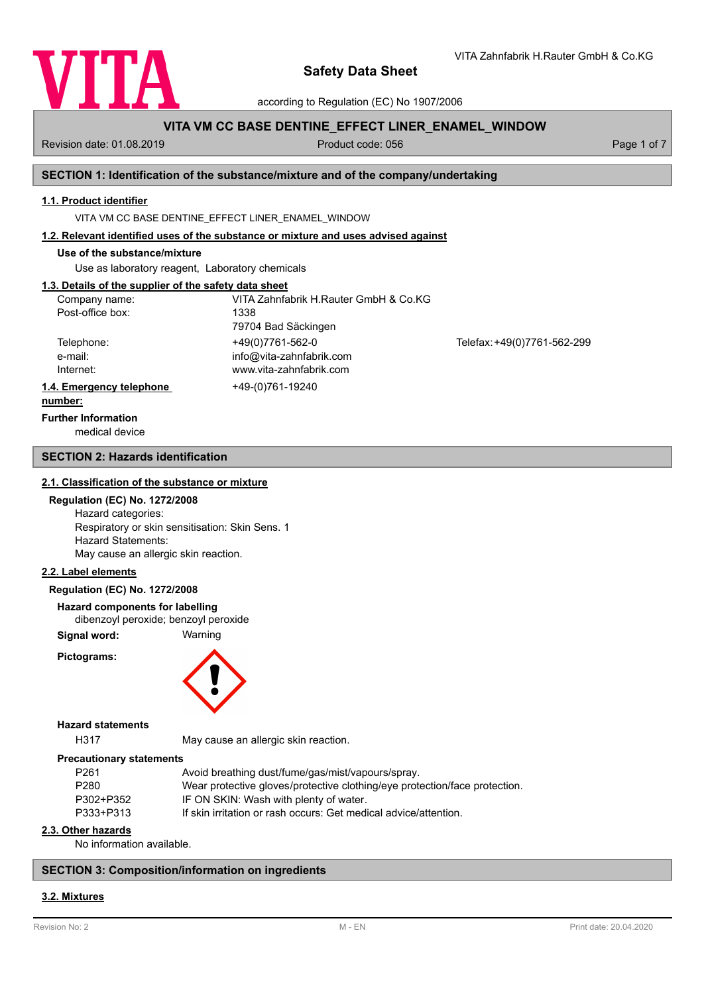

according to Regulation (EC) No 1907/2006

# **VITA VM CC BASE DENTINE\_EFFECT LINER\_ENAMEL\_WINDOW**

Revision date: 01.08.2019 **Product code: 056** Product code: 056 Page 1 of 7

VITA Zahnfabrik H.Rauter GmbH & Co.KG

## **SECTION 1: Identification of the substance/mixture and of the company/undertaking**

### **1.1. Product identifier**

VITA VM CC BASE DENTINE\_EFFECT LINER\_ENAMEL\_WINDOW

### **1.2. Relevant identified uses of the substance or mixture and uses advised against**

## **Use of the substance/mixture**

Use as laboratory reagent, Laboratory chemicals

# **1.3. Details of the supplier of the safety data sheet**

| Company name:            | VITA Zahnfabrik H.Rauter GmbH & Co.KG |                             |
|--------------------------|---------------------------------------|-----------------------------|
| Post-office box:         | 1338                                  |                             |
|                          | 79704 Bad Säckingen                   |                             |
| Telephone:               | +49(0)7761-562-0                      | Telefax: +49(0)7761-562-299 |
| e-mail:                  | info@vita-zahnfabrik.com              |                             |
| Internet:                | www.vita-zahnfabrik.com               |                             |
| 1.4. Emergency telephone | +49-(0)761-19240                      |                             |
| المتمام والممتنعة        |                                       |                             |

#### **number:**

**Further Information**

medical device

## **SECTION 2: Hazards identification**

#### **2.1. Classification of the substance or mixture**

#### **Regulation (EC) No. 1272/2008**

Hazard categories: Respiratory or skin sensitisation: Skin Sens. 1 Hazard Statements: May cause an allergic skin reaction.

#### **2.2. Label elements**

#### **Regulation (EC) No. 1272/2008**

**Hazard components for labelling**

dibenzoyl peroxide; benzoyl peroxide

**Signal word:** Warning

**Pictograms:**



#### **Hazard statements**

H317 May cause an allergic skin reaction.

#### **Precautionary statements**

| P <sub>261</sub> | Avoid breathing dust/fume/gas/mist/vapours/spray.                          |  |
|------------------|----------------------------------------------------------------------------|--|
| P <sub>280</sub> | Wear protective gloves/protective clothing/eye protection/face protection. |  |
| P302+P352        | IF ON SKIN: Wash with plenty of water.                                     |  |
| P333+P313        | If skin irritation or rash occurs: Get medical advice/attention.           |  |
|                  |                                                                            |  |

## **2.3. Other hazards**

No information available.

## **SECTION 3: Composition/information on ingredients**

### **3.2. Mixtures**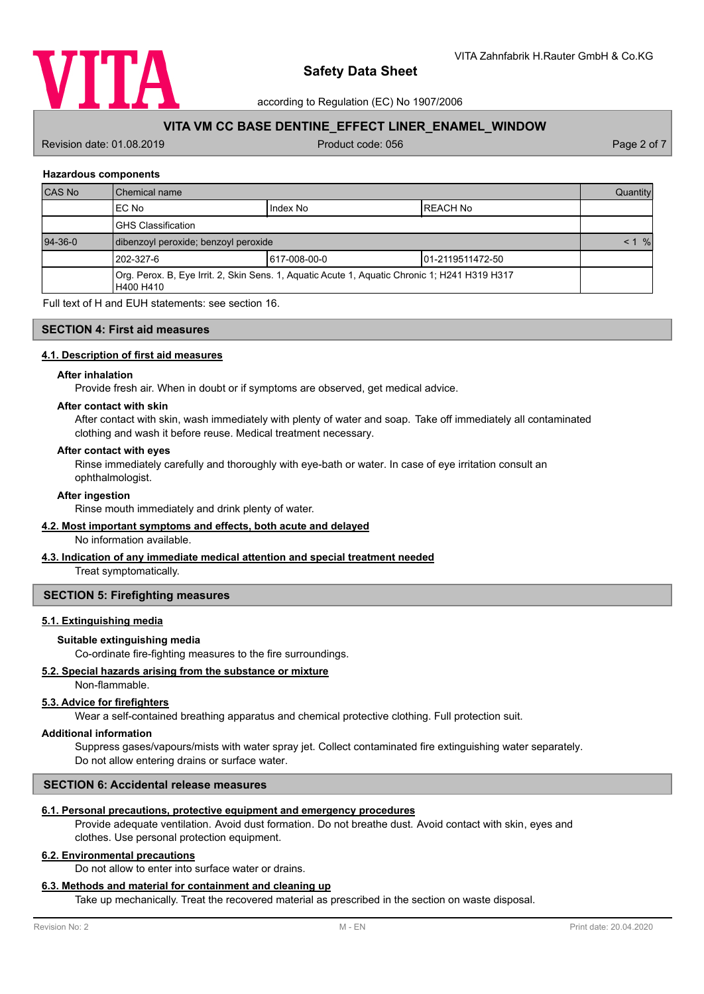

according to Regulation (EC) No 1907/2006

# **VITA VM CC BASE DENTINE\_EFFECT LINER\_ENAMEL\_WINDOW**

Revision date: 01.08.2019 **Product code: 056** Product code: 056 Page 2 of 7

### **Hazardous components**

| <b>CAS No</b> | Chemical name                                                                                              |               | Quantity             |  |
|---------------|------------------------------------------------------------------------------------------------------------|---------------|----------------------|--|
|               | EC No                                                                                                      | Index No      | IREACH No            |  |
|               | <b>GHS Classification</b>                                                                                  |               |                      |  |
| $94 - 36 - 0$ | dibenzoyl peroxide; benzoyl peroxide                                                                       |               | $\frac{9}{6}$<br>< 1 |  |
|               | 1202-327-6                                                                                                 | 1617-008-00-0 | 101-2119511472-50    |  |
|               | Org. Perox. B, Eye Irrit. 2, Skin Sens. 1, Aquatic Acute 1, Aquatic Chronic 1; H241 H319 H317<br>H400 H410 |               |                      |  |

Full text of H and EUH statements: see section 16.

## **SECTION 4: First aid measures**

#### **4.1. Description of first aid measures**

#### **After inhalation**

Provide fresh air. When in doubt or if symptoms are observed, get medical advice.

#### **After contact with skin**

After contact with skin, wash immediately with plenty of water and soap. Take off immediately all contaminated clothing and wash it before reuse. Medical treatment necessary.

#### **After contact with eyes**

Rinse immediately carefully and thoroughly with eye-bath or water. In case of eye irritation consult an ophthalmologist.

#### **After ingestion**

Rinse mouth immediately and drink plenty of water.

#### **4.2. Most important symptoms and effects, both acute and delayed**

No information available.

## **4.3. Indication of any immediate medical attention and special treatment needed**

Treat symptomatically.

#### **SECTION 5: Firefighting measures**

# **5.1. Extinguishing media**

#### **Suitable extinguishing media**

Co-ordinate fire-fighting measures to the fire surroundings.

### **5.2. Special hazards arising from the substance or mixture**

Non-flammable.

## **5.3. Advice for firefighters**

Wear a self-contained breathing apparatus and chemical protective clothing. Full protection suit.

#### **Additional information**

Suppress gases/vapours/mists with water spray jet. Collect contaminated fire extinguishing water separately. Do not allow entering drains or surface water.

## **SECTION 6: Accidental release measures**

#### **6.1. Personal precautions, protective equipment and emergency procedures**

Provide adequate ventilation. Avoid dust formation. Do not breathe dust. Avoid contact with skin, eyes and clothes. Use personal protection equipment.

## **6.2. Environmental precautions**

Do not allow to enter into surface water or drains.

# **6.3. Methods and material for containment and cleaning up**

Take up mechanically. Treat the recovered material as prescribed in the section on waste disposal.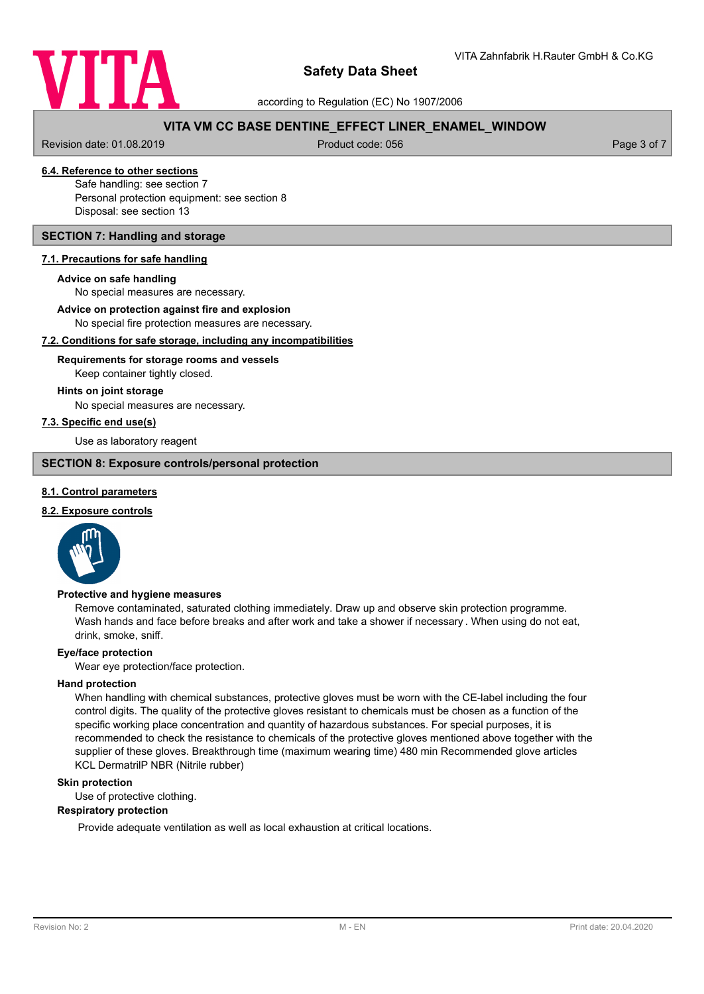

according to Regulation (EC) No 1907/2006

# **VITA VM CC BASE DENTINE\_EFFECT LINER\_ENAMEL\_WINDOW**

Revision date: 01.08.2019 **Product code: 056** Product code: 056 Page 3 of 7

# **6.4. Reference to other sections**

Safe handling: see section 7 Personal protection equipment: see section 8 Disposal: see section 13

## **SECTION 7: Handling and storage**

### **7.1. Precautions for safe handling**

#### **Advice on safe handling**

No special measures are necessary.

**Advice on protection against fire and explosion**

No special fire protection measures are necessary.

## **7.2. Conditions for safe storage, including any incompatibilities**

### Keep container tightly closed. **Requirements for storage rooms and vessels**

#### **Hints on joint storage**

No special measures are necessary.

## **7.3. Specific end use(s)**

Use as laboratory reagent

### **SECTION 8: Exposure controls/personal protection**

### **8.1. Control parameters**

# **8.2. Exposure controls**



#### **Protective and hygiene measures**

Remove contaminated, saturated clothing immediately. Draw up and observe skin protection programme. Wash hands and face before breaks and after work and take a shower if necessary . When using do not eat, drink, smoke, sniff.

#### **Eye/face protection**

Wear eye protection/face protection.

#### **Hand protection**

When handling with chemical substances, protective gloves must be worn with the CE-label including the four control digits. The quality of the protective gloves resistant to chemicals must be chosen as a function of the specific working place concentration and quantity of hazardous substances. For special purposes, it is recommended to check the resistance to chemicals of the protective gloves mentioned above together with the supplier of these gloves. Breakthrough time (maximum wearing time) 480 min Recommended glove articles KCL DermatrilP NBR (Nitrile rubber)

#### **Skin protection**

Use of protective clothing.

#### **Respiratory protection**

Provide adequate ventilation as well as local exhaustion at critical locations.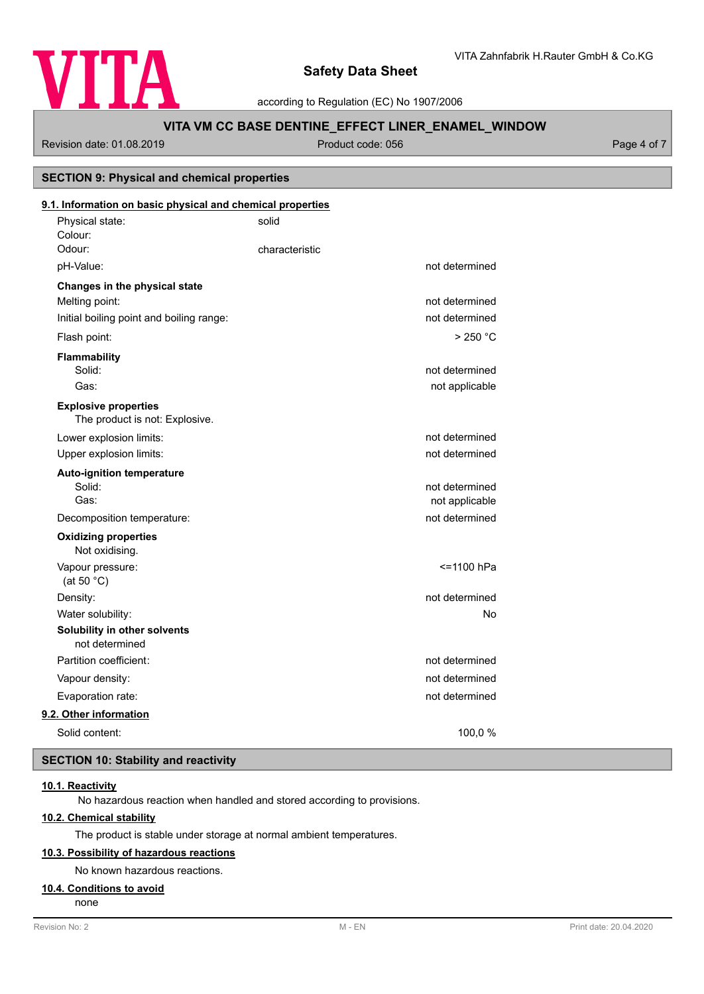

according to Regulation (EC) No 1907/2006

# **VITA VM CC BASE DENTINE\_EFFECT LINER\_ENAMEL\_WINDOW**

Revision date: 01.08.2019 **Product code: 056** Product code: 056 Page 4 of 7

**SECTION 9: Physical and chemical properties**

# Physical state: solid Colour: **9.1. Information on basic physical and chemical properties** Odour: Characteristic pH-Value: not determined **Changes in the physical state** Melting point: not determined Initial boiling point and boiling range: not determined Flash point: > 250 °C **Flammability** Solid: **not determined** and the solid: **not determined** and the solid: **not determined** and the solid: **not determined** and the solid: **not determined** and the solid: **not determined** and the solid: **note** that the solid: Gas: contract the contract of the contract of the contract of the contract of the contract of the contract of the contract of the contract of the contract of the contract of the contract of the contract of the contract of The product is not: Explosive. **Explosive properties** Lower explosion limits:  $\qquad \qquad \qquad$  not determined Upper explosion limits:  $\blacksquare$ **Auto-ignition temperature** Solid: **not determined** and the solid: **not determined** and the solid: **not determined** and the solid: **not determined** and the solid: **not determined** and the solid: **not determined** and the solid: **note** that the solid: Gas: Gas: not applicable contract to the contract of the contract of the contract of the contract of the contract of the contract of the contract of the contract of the contract of the contract of the contract of the contr Decomposition temperature: not determined Not oxidising. **Oxidizing properties** Vapour pressure:  $\le$  1100 hPa (at 50 °C) Density: not determined Water solubility: No **Solubility in other solvents** not determined Partition coefficient: not determined Vapour density: not determined Evaporation rate: not determined **9.2. Other information** Solid content: 100,0 %

# **SECTION 10: Stability and reactivity**

# **10.1. Reactivity**

No hazardous reaction when handled and stored according to provisions.

## **10.2. Chemical stability**

The product is stable under storage at normal ambient temperatures.

# **10.3. Possibility of hazardous reactions**

No known hazardous reactions.

#### **10.4. Conditions to avoid**

none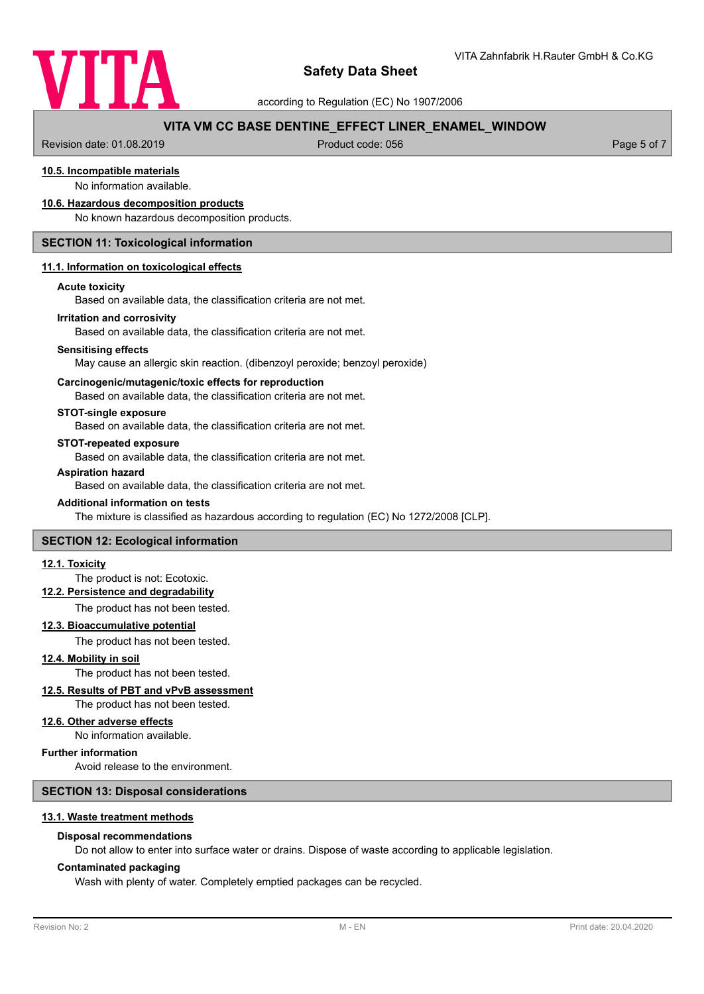

according to Regulation (EC) No 1907/2006

# **VITA VM CC BASE DENTINE\_EFFECT LINER\_ENAMEL\_WINDOW**

Revision date: 01.08.2019 **Product code: 056** Product code: 056 Page 5 of 7

# **10.5. Incompatible materials**

No information available.

#### **10.6. Hazardous decomposition products**

No known hazardous decomposition products.

## **SECTION 11: Toxicological information**

#### **11.1. Information on toxicological effects**

#### **Acute toxicity**

Based on available data, the classification criteria are not met.

#### **Irritation and corrosivity**

Based on available data, the classification criteria are not met.

#### **Sensitising effects**

May cause an allergic skin reaction. (dibenzoyl peroxide; benzoyl peroxide)

#### **Carcinogenic/mutagenic/toxic effects for reproduction**

Based on available data, the classification criteria are not met.

## **STOT-single exposure**

Based on available data, the classification criteria are not met.

#### **STOT-repeated exposure**

Based on available data, the classification criteria are not met.

#### **Aspiration hazard**

Based on available data, the classification criteria are not met.

#### **Additional information on tests**

The mixture is classified as hazardous according to regulation (EC) No 1272/2008 [CLP].

## **SECTION 12: Ecological information**

#### **12.1. Toxicity**

## The product is not: Ecotoxic.

# **12.2. Persistence and degradability**

The product has not been tested.

#### **12.3. Bioaccumulative potential**

The product has not been tested.

**12.4. Mobility in soil**

# The product has not been tested.

## **12.5. Results of PBT and vPvB assessment**

The product has not been tested.

### **12.6. Other adverse effects**

No information available.

## **Further information**

Avoid release to the environment.

#### **SECTION 13: Disposal considerations**

#### **13.1. Waste treatment methods**

#### **Disposal recommendations**

Do not allow to enter into surface water or drains. Dispose of waste according to applicable legislation.

#### **Contaminated packaging**

Wash with plenty of water. Completely emptied packages can be recycled.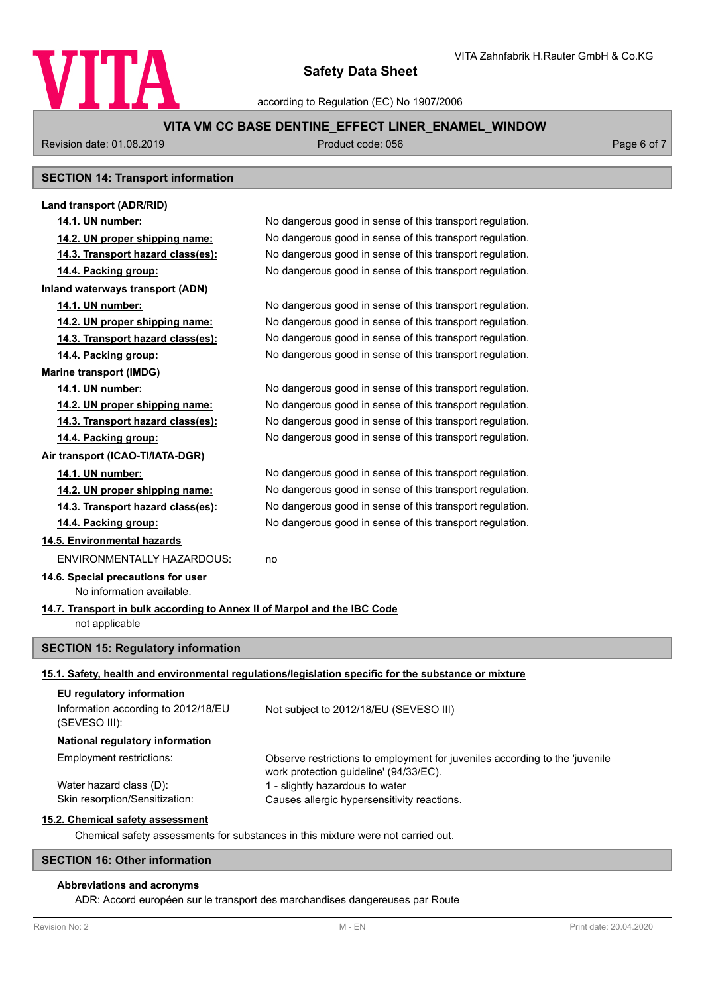

according to Regulation (EC) No 1907/2006

# **VITA VM CC BASE DENTINE\_EFFECT LINER\_ENAMEL\_WINDOW**

Revision date: 01.08.2019 **Product code: 056** Product code: 056 Page 6 of 7

# **SECTION 14: Transport information**

| Land transport (ADR/RID)                                                         |                                                                                                                       |  |
|----------------------------------------------------------------------------------|-----------------------------------------------------------------------------------------------------------------------|--|
| 14.1. UN number:                                                                 | No dangerous good in sense of this transport regulation.                                                              |  |
| 14.2. UN proper shipping name:                                                   | No dangerous good in sense of this transport regulation.                                                              |  |
| 14.3. Transport hazard class(es):                                                | No dangerous good in sense of this transport regulation.                                                              |  |
| 14.4. Packing group:                                                             | No dangerous good in sense of this transport regulation.                                                              |  |
| Inland waterways transport (ADN)                                                 |                                                                                                                       |  |
| 14.1. UN number:                                                                 | No dangerous good in sense of this transport regulation.                                                              |  |
| 14.2. UN proper shipping name:                                                   | No dangerous good in sense of this transport regulation.                                                              |  |
| 14.3. Transport hazard class(es):                                                | No dangerous good in sense of this transport regulation.                                                              |  |
| 14.4. Packing group:                                                             | No dangerous good in sense of this transport regulation.                                                              |  |
| <b>Marine transport (IMDG)</b>                                                   |                                                                                                                       |  |
| 14.1. UN number:                                                                 | No dangerous good in sense of this transport regulation.                                                              |  |
| 14.2. UN proper shipping name:                                                   | No dangerous good in sense of this transport regulation.                                                              |  |
| 14.3. Transport hazard class(es):                                                | No dangerous good in sense of this transport regulation.                                                              |  |
| 14.4. Packing group:                                                             | No dangerous good in sense of this transport regulation.                                                              |  |
| Air transport (ICAO-TI/IATA-DGR)                                                 |                                                                                                                       |  |
| 14.1. UN number:                                                                 | No dangerous good in sense of this transport regulation.                                                              |  |
| 14.2. UN proper shipping name:                                                   | No dangerous good in sense of this transport regulation.                                                              |  |
| 14.3. Transport hazard class(es):                                                | No dangerous good in sense of this transport regulation.                                                              |  |
| 14.4. Packing group:                                                             | No dangerous good in sense of this transport regulation.                                                              |  |
| 14.5. Environmental hazards                                                      |                                                                                                                       |  |
| <b>ENVIRONMENTALLY HAZARDOUS:</b>                                                | no                                                                                                                    |  |
| 14.6. Special precautions for user<br>No information available.                  |                                                                                                                       |  |
| 14.7. Transport in bulk according to Annex II of Marpol and the IBC Code         |                                                                                                                       |  |
| not applicable                                                                   |                                                                                                                       |  |
|                                                                                  |                                                                                                                       |  |
| <b>SECTION 15: Regulatory information</b>                                        |                                                                                                                       |  |
|                                                                                  | 15.1. Safety, health and environmental regulations/legislation specific for the substance or mixture                  |  |
| EU regulatory information                                                        |                                                                                                                       |  |
| Information according to 2012/18/EU<br>(SEVESO III):                             | Not subject to 2012/18/EU (SEVESO III)                                                                                |  |
| National regulatory information                                                  |                                                                                                                       |  |
| Employment restrictions:                                                         | Observe restrictions to employment for juveniles according to the 'juvenile<br>work protection guideline' (94/33/EC). |  |
| Water hazard class (D):                                                          | 1 - slightly hazardous to water                                                                                       |  |
| Skin resorption/Sensitization:                                                   | Causes allergic hypersensitivity reactions.                                                                           |  |
| 15.2. Chemical safety assessment                                                 |                                                                                                                       |  |
| Chemical safety assessments for substances in this mixture were not carried out. |                                                                                                                       |  |
| <b>SECTION 16: Other information</b>                                             |                                                                                                                       |  |

# **Abbreviations and acronyms**

ADR: Accord européen sur le transport des marchandises dangereuses par Route